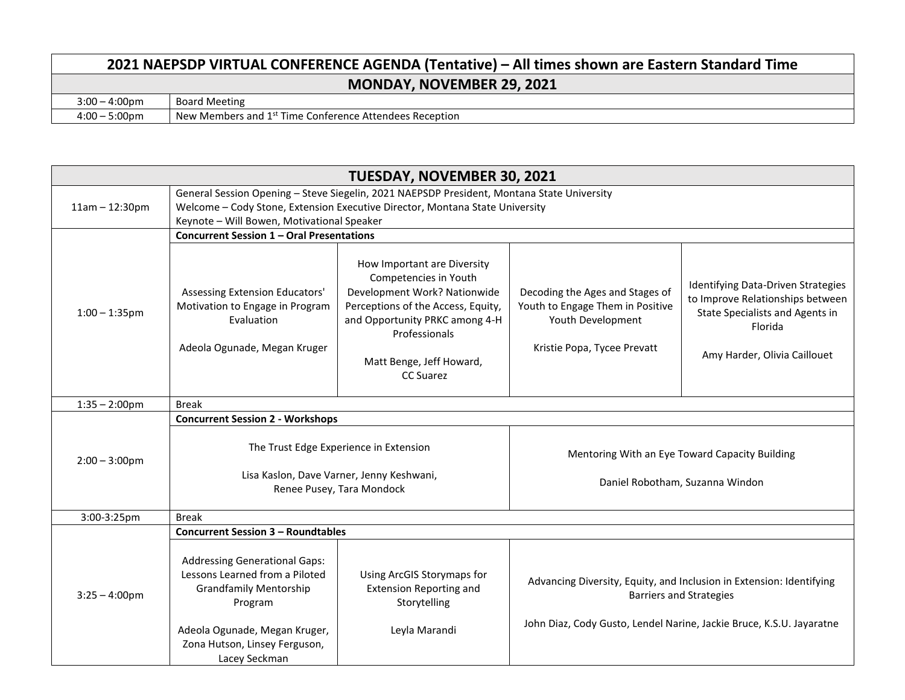## **2021 NAEPSDP VIRTUAL CONFERENCE AGENDA (Tentative) – All times shown are Eastern Standard Time MONDAY, NOVEMBER 29, 2021** 3:00 – 4:00pm Board Meeting<br>4:00 – 5:00pm New Members New Members and 1<sup>st</sup> Time Conference Attendees Reception

| <b>TUESDAY, NOVEMBER 30, 2021</b> |                                                                                                                                                                                                                          |                                                                                                                                                                                                                               |                                                                                                                         |                                                                                                                                                                                |  |
|-----------------------------------|--------------------------------------------------------------------------------------------------------------------------------------------------------------------------------------------------------------------------|-------------------------------------------------------------------------------------------------------------------------------------------------------------------------------------------------------------------------------|-------------------------------------------------------------------------------------------------------------------------|--------------------------------------------------------------------------------------------------------------------------------------------------------------------------------|--|
| $11am - 12:30pm$                  | General Session Opening - Steve Siegelin, 2021 NAEPSDP President, Montana State University<br>Welcome - Cody Stone, Extension Executive Director, Montana State University<br>Keynote - Will Bowen, Motivational Speaker |                                                                                                                                                                                                                               |                                                                                                                         |                                                                                                                                                                                |  |
|                                   | Concurrent Session 1 - Oral Presentations                                                                                                                                                                                |                                                                                                                                                                                                                               |                                                                                                                         |                                                                                                                                                                                |  |
| $1:00 - 1:35$ pm                  | Assessing Extension Educators'<br>Motivation to Engage in Program<br>Evaluation<br>Adeola Ogunade, Megan Kruger                                                                                                          | How Important are Diversity<br>Competencies in Youth<br>Development Work? Nationwide<br>Perceptions of the Access, Equity,<br>and Opportunity PRKC among 4-H<br>Professionals<br>Matt Benge, Jeff Howard,<br><b>CC Suarez</b> | Decoding the Ages and Stages of<br>Youth to Engage Them in Positive<br>Youth Development<br>Kristie Popa, Tycee Prevatt | Identifying Data-Driven Strategies<br>to Improve Relationships between<br>State Specialists and Agents in<br>Florida<br>Amy Harder, Olivia Caillouet                           |  |
| $1:35 - 2:00$ pm                  | <b>Break</b>                                                                                                                                                                                                             |                                                                                                                                                                                                                               |                                                                                                                         |                                                                                                                                                                                |  |
|                                   | <b>Concurrent Session 2 - Workshops</b>                                                                                                                                                                                  |                                                                                                                                                                                                                               |                                                                                                                         |                                                                                                                                                                                |  |
| $2:00 - 3:00$ pm                  | The Trust Edge Experience in Extension<br>Lisa Kaslon, Dave Varner, Jenny Keshwani,<br>Renee Pusey, Tara Mondock                                                                                                         |                                                                                                                                                                                                                               | Mentoring With an Eye Toward Capacity Building<br>Daniel Robotham, Suzanna Windon                                       |                                                                                                                                                                                |  |
| 3:00-3:25pm                       | <b>Break</b>                                                                                                                                                                                                             |                                                                                                                                                                                                                               |                                                                                                                         |                                                                                                                                                                                |  |
|                                   | <b>Concurrent Session 3 - Roundtables</b>                                                                                                                                                                                |                                                                                                                                                                                                                               |                                                                                                                         |                                                                                                                                                                                |  |
| $3:25 - 4:00$ pm                  | <b>Addressing Generational Gaps:</b><br>Lessons Learned from a Piloted<br><b>Grandfamily Mentorship</b><br>Program<br>Adeola Ogunade, Megan Kruger,<br>Zona Hutson, Linsey Ferguson,<br>Lacey Seckman                    | Using ArcGIS Storymaps for<br><b>Extension Reporting and</b><br>Storytelling<br>Leyla Marandi                                                                                                                                 |                                                                                                                         | Advancing Diversity, Equity, and Inclusion in Extension: Identifying<br><b>Barriers and Strategies</b><br>John Diaz, Cody Gusto, Lendel Narine, Jackie Bruce, K.S.U. Jayaratne |  |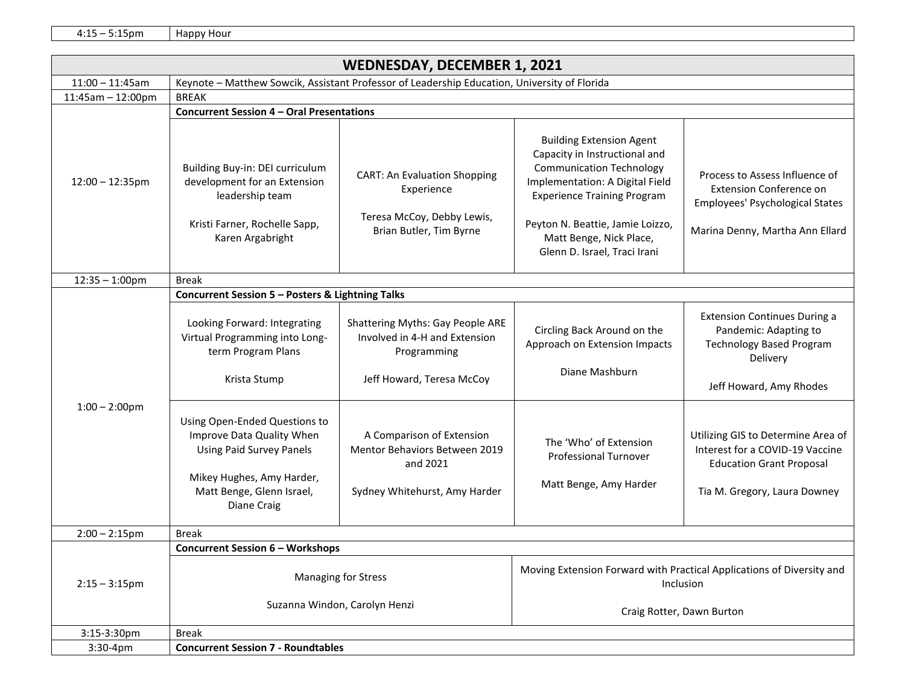4:15 – 5:15pm Happy Hour

| <b>WEDNESDAY, DECEMBER 1, 2021</b> |                                                                                                                                                                                                                                                                                                                                    |                                                                                                                                                                                                                                 |                                                                                                                                                                                                                                                                             |                                                                                                                                                                                                                                                                                    |  |
|------------------------------------|------------------------------------------------------------------------------------------------------------------------------------------------------------------------------------------------------------------------------------------------------------------------------------------------------------------------------------|---------------------------------------------------------------------------------------------------------------------------------------------------------------------------------------------------------------------------------|-----------------------------------------------------------------------------------------------------------------------------------------------------------------------------------------------------------------------------------------------------------------------------|------------------------------------------------------------------------------------------------------------------------------------------------------------------------------------------------------------------------------------------------------------------------------------|--|
| $11:00 - 11:45am$                  | Keynote - Matthew Sowcik, Assistant Professor of Leadership Education, University of Florida                                                                                                                                                                                                                                       |                                                                                                                                                                                                                                 |                                                                                                                                                                                                                                                                             |                                                                                                                                                                                                                                                                                    |  |
| $11:45am - 12:00pm$                | <b>BREAK</b>                                                                                                                                                                                                                                                                                                                       |                                                                                                                                                                                                                                 |                                                                                                                                                                                                                                                                             |                                                                                                                                                                                                                                                                                    |  |
|                                    | <b>Concurrent Session 4 - Oral Presentations</b>                                                                                                                                                                                                                                                                                   |                                                                                                                                                                                                                                 |                                                                                                                                                                                                                                                                             |                                                                                                                                                                                                                                                                                    |  |
| $12:00 - 12:35$ pm                 | Building Buy-in: DEI curriculum<br>development for an Extension<br>leadership team<br>Kristi Farner, Rochelle Sapp,<br>Karen Argabright                                                                                                                                                                                            | <b>CART: An Evaluation Shopping</b><br>Experience<br>Teresa McCoy, Debby Lewis,<br>Brian Butler, Tim Byrne                                                                                                                      | <b>Building Extension Agent</b><br>Capacity in Instructional and<br><b>Communication Technology</b><br>Implementation: A Digital Field<br><b>Experience Training Program</b><br>Peyton N. Beattie, Jamie Loizzo,<br>Matt Benge, Nick Place,<br>Glenn D. Israel, Traci Irani | Process to Assess Influence of<br><b>Extension Conference on</b><br>Employees' Psychological States<br>Marina Denny, Martha Ann Ellard                                                                                                                                             |  |
| $12:35 - 1:00$ pm                  | <b>Break</b>                                                                                                                                                                                                                                                                                                                       |                                                                                                                                                                                                                                 |                                                                                                                                                                                                                                                                             |                                                                                                                                                                                                                                                                                    |  |
| $1:00 - 2:00$ pm                   | Concurrent Session 5 - Posters & Lightning Talks<br>Looking Forward: Integrating<br>Virtual Programming into Long-<br>term Program Plans<br>Krista Stump<br>Using Open-Ended Questions to<br>Improve Data Quality When<br><b>Using Paid Survey Panels</b><br>Mikey Hughes, Amy Harder,<br>Matt Benge, Glenn Israel,<br>Diane Craig | <b>Shattering Myths: Gay People ARE</b><br>Involved in 4-H and Extension<br>Programming<br>Jeff Howard, Teresa McCoy<br>A Comparison of Extension<br>Mentor Behaviors Between 2019<br>and 2021<br>Sydney Whitehurst, Amy Harder | Circling Back Around on the<br>Approach on Extension Impacts<br>Diane Mashburn<br>The 'Who' of Extension<br><b>Professional Turnover</b><br>Matt Benge, Amy Harder                                                                                                          | <b>Extension Continues During a</b><br>Pandemic: Adapting to<br><b>Technology Based Program</b><br>Delivery<br>Jeff Howard, Amy Rhodes<br>Utilizing GIS to Determine Area of<br>Interest for a COVID-19 Vaccine<br><b>Education Grant Proposal</b><br>Tia M. Gregory, Laura Downey |  |
| $2:00 - 2:15$ pm                   | <b>Break</b>                                                                                                                                                                                                                                                                                                                       |                                                                                                                                                                                                                                 |                                                                                                                                                                                                                                                                             |                                                                                                                                                                                                                                                                                    |  |
|                                    | <b>Concurrent Session 6 - Workshops</b>                                                                                                                                                                                                                                                                                            |                                                                                                                                                                                                                                 |                                                                                                                                                                                                                                                                             |                                                                                                                                                                                                                                                                                    |  |
| $2:15 - 3:15$ pm                   | <b>Managing for Stress</b><br>Suzanna Windon, Carolyn Henzi                                                                                                                                                                                                                                                                        |                                                                                                                                                                                                                                 | Moving Extension Forward with Practical Applications of Diversity and<br>Inclusion<br>Craig Rotter, Dawn Burton                                                                                                                                                             |                                                                                                                                                                                                                                                                                    |  |
| 3:15-3:30pm                        | <b>Break</b>                                                                                                                                                                                                                                                                                                                       |                                                                                                                                                                                                                                 |                                                                                                                                                                                                                                                                             |                                                                                                                                                                                                                                                                                    |  |
| 3:30-4pm                           | <b>Concurrent Session 7 - Roundtables</b>                                                                                                                                                                                                                                                                                          |                                                                                                                                                                                                                                 |                                                                                                                                                                                                                                                                             |                                                                                                                                                                                                                                                                                    |  |